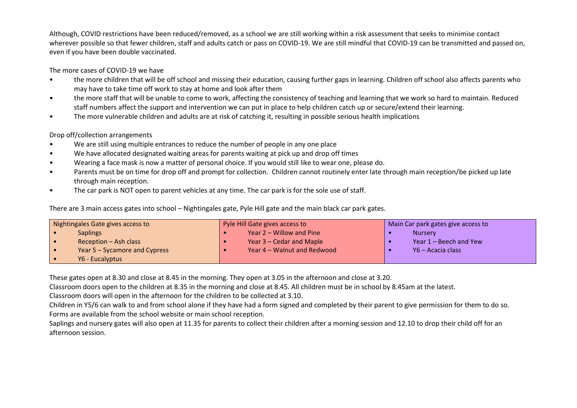Although, COVID restrictions have been reduced/removed, as a school we are still working within a risk assessment that seeks to minimise contact wherever possible so that fewer children, staff and adults catch or pass on COVID-19. We are still mindful that COVID-19 can be transmitted and passed on, even if you have been double vaccinated.

The more cases of COVID-19 we have

- the more children that will be off school and missing their education, causing further gaps in learning. Children off school also affects parents who may have to take time off work to stay at home and look after them
- the more staff that will be unable to come to work, affecting the consistency of teaching and learning that we work so hard to maintain. Reduced staff numbers affect the support and intervention we can put in place to help children catch up or secure/extend their learning.
- The more vulnerable children and adults are at risk of catching it, resulting in possible serious health implications

Drop off/collection arrangements

- We are still using multiple entrances to reduce the number of people in any one place
- We have allocated designated waiting areas for parents waiting at pick up and drop off times
- Wearing a face mask is now a matter of personal choice. If you would still like to wear one, please do.
- Parents must be on time for drop off and prompt for collection. Children cannot routinely enter late through main reception/be picked up late through main reception.
- The car park is NOT open to parent vehicles at any time. The car park is for the sole use of staff.

There are 3 main access gates into school – Nightingales gate, Pyle Hill gate and the main black car park gates.

| Nightingales Gate gives access to |  | Pyle Hill Gate gives access to |  | Main Car park gates give access to |  |
|-----------------------------------|--|--------------------------------|--|------------------------------------|--|
| <b>Saplings</b>                   |  | Year $2$ – Willow and Pine     |  | <b>Nurserv</b>                     |  |
| Reception – Ash class<br>. .      |  | Year 3 – Cedar and Maple       |  | Year $1 -$ Beech and Yew           |  |
| Year 5 – Sycamore and Cypress     |  | Year 4 – Walnut and Redwood    |  | Y6 – Acacia class                  |  |
| Y6 - Eucalyptus                   |  |                                |  |                                    |  |

These gates open at 8.30 and close at 8.45 in the morning. They open at 3.05 in the afternoon and close at 3.20.

Classroom doors open to the children at 8.35 in the morning and close at 8.45. All children must be in school by 8.45am at the latest.

Classroom doors will open in the afternoon for the children to be collected at 3.10.

Children in Y5/6 can walk to and from school alone if they have had a form signed and completed by their parent to give permission for them to do so. Forms are available from the school website or main school reception.

Saplings and nursery gates will also open at 11.35 for parents to collect their children after a morning session and 12.10 to drop their child off for an afternoon session.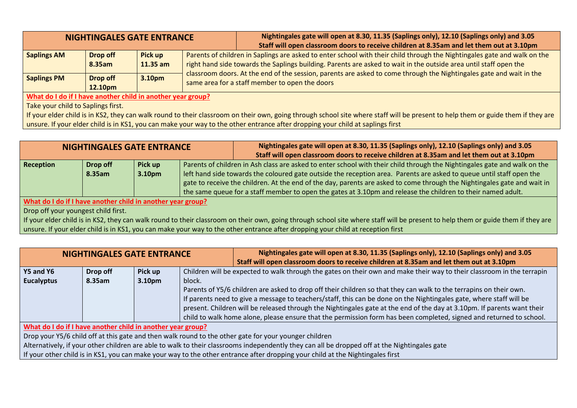| <b>NIGHTINGALES GATE ENTRANCE</b>                           |                     |                              |                                                                                                                                                                                                                                               | Nightingales gate will open at 8.30, 11.35 (Saplings only), 12.10 (Saplings only) and 3.05<br>Staff will open classroom doors to receive children at 8.35am and let them out at 3.10pm |  |  |
|-------------------------------------------------------------|---------------------|------------------------------|-----------------------------------------------------------------------------------------------------------------------------------------------------------------------------------------------------------------------------------------------|----------------------------------------------------------------------------------------------------------------------------------------------------------------------------------------|--|--|
| Saplings AM                                                 | Drop off<br>8.35am  | <b>Pick up</b><br>$11.35$ am | Parents of children in Saplings are asked to enter school with their child through the Nightingales gate and walk on the<br>right hand side towards the Saplings building. Parents are asked to wait in the outside area until staff open the |                                                                                                                                                                                        |  |  |
| Saplings PM                                                 | Drop off<br>12.10pm | 3.10pm                       | classroom doors. At the end of the session, parents are asked to come through the Nightingales gate and wait in the<br>same area for a staff member to open the doors                                                                         |                                                                                                                                                                                        |  |  |
| What do I do if I have another child in another year group? |                     |                              |                                                                                                                                                                                                                                               |                                                                                                                                                                                        |  |  |

Take your child to Saplings first.

If your elder child is in KS2, they can walk round to their classroom on their own, going through school site where staff will be present to help them or guide them if they are unsure. If your elder child is in KS1, you can make your way to the other entrance after dropping your child at saplings first

| <b>NIGHTINGALES GATE ENTRANCE</b> |          |         |                                                                                                                      | Nightingales gate will open at 8.30, 11.35 (Saplings only), 12.10 (Saplings only) and 3.05                                |  |
|-----------------------------------|----------|---------|----------------------------------------------------------------------------------------------------------------------|---------------------------------------------------------------------------------------------------------------------------|--|
|                                   |          |         |                                                                                                                      | Staff will open classroom doors to receive children at 8.35am and let them out at 3.10pm                                  |  |
| Reception                         | Drop off | Pick up |                                                                                                                      | Parents of children in Ash class are asked to enter school with their child through the Nightingales gate and walk on the |  |
|                                   | 8.35am   | 3.10pm  | left hand side towards the coloured gate outside the reception area. Parents are asked to queue until staff open the |                                                                                                                           |  |
|                                   |          |         |                                                                                                                      | gate to receive the children. At the end of the day, parents are asked to come through the Nightingales gate and wait in  |  |
|                                   |          |         |                                                                                                                      | the same queue for a staff member to open the gates at 3.10pm and release the children to their named adult.              |  |
|                                   |          |         |                                                                                                                      |                                                                                                                           |  |

**What do I do if I have another child in another year group?**

Drop off your youngest child first.

If your elder child is in KS2, they can walk round to their classroom on their own, going through school site where staff will be present to help them or guide them if they are unsure. If your elder child is in KS1, you can make your way to the other entrance after dropping your child at reception first

| <b>NIGHTINGALES GATE ENTRANCE</b> |          |                    | Nightingales gate will open at 8.30, 11.35 (Saplings only), 12.10 (Saplings only) and 3.05<br>Staff will open classroom doors to receive children at 8.35am and let them out at 3.10pm |
|-----------------------------------|----------|--------------------|----------------------------------------------------------------------------------------------------------------------------------------------------------------------------------------|
| Y5 and Y6                         | Drop off | Pick up            | Children will be expected to walk through the gates on their own and make their way to their classroom in the terrapin                                                                 |
| <b>Eucalyptus</b>                 | 8.35am   | 3.10 <sub>pm</sub> | block.                                                                                                                                                                                 |
|                                   |          |                    | Parents of Y5/6 children are asked to drop off their children so that they can walk to the terrapins on their own.                                                                     |
|                                   |          |                    | If parents need to give a message to teachers/staff, this can be done on the Nightingales gate, where staff will be                                                                    |
|                                   |          |                    | present. Children will be released through the Nightingales gate at the end of the day at 3.10pm. If parents want their                                                                |
|                                   |          |                    | child to walk home alone, please ensure that the permission form has been completed, signed and returned to school.                                                                    |

**What do I do if I have another child in another year group?**

Drop your Y5/6 child off at this gate and then walk round to the other gate for your younger children

Alternatively, if your other children are able to walk to their classrooms independently they can all be dropped off at the Nightingales gate

If your other child is in KS1, you can make your way to the other entrance after dropping your child at the Nightingales first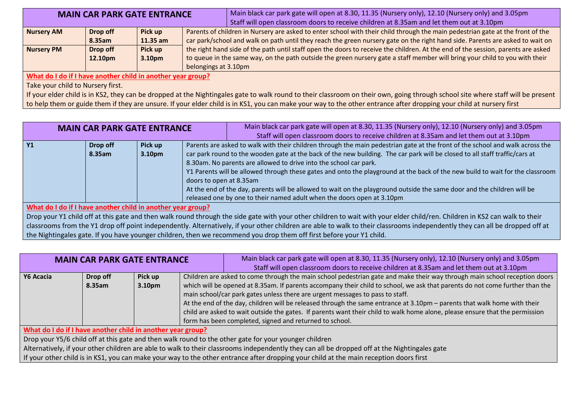| <b>MAIN CAR PARK GATE ENTRANCE</b> |          |                    |                                                                                                                             | Main black car park gate will open at 8.30, 11.35 (Nursery only), 12.10 (Nursery only) and 3.05pm                                |  |
|------------------------------------|----------|--------------------|-----------------------------------------------------------------------------------------------------------------------------|----------------------------------------------------------------------------------------------------------------------------------|--|
|                                    |          |                    |                                                                                                                             | Staff will open classroom doors to receive children at 8.35am and let them out at 3.10pm                                         |  |
| <b>Nursery AM</b>                  | Drop off | Pick up            |                                                                                                                             | Parents of children in Nursery are asked to enter school with their child through the main pedestrian gate at the front of the   |  |
|                                    | 8.35am   | 11.35 am           |                                                                                                                             | car park/school and walk on path until they reach the green nursery gate on the right hand side. Parents are asked to wait on    |  |
| <b>Nursery PM</b>                  | Drop off | Pick up            |                                                                                                                             | the right hand side of the path until staff open the doors to receive the children. At the end of the session, parents are asked |  |
|                                    | 12.10pm  | 3.10 <sub>pm</sub> | to queue in the same way, on the path outside the green nursery gate a staff member will bring your child to you with their |                                                                                                                                  |  |
|                                    |          |                    | belongings at 3.10pm                                                                                                        |                                                                                                                                  |  |

**What do I do if I have another child in another year group?**

Take your child to Nursery first.

If your elder child is in KS2, they can be dropped at the Nightingales gate to walk round to their classroom on their own, going through school site where staff will be present to help them or guide them if they are unsure. If your elder child is in KS1, you can make your way to the other entrance after dropping your child at nursery first

| <b>MAIN CAR PARK GATE ENTRANCE</b>                                                                                                                                          |          |                    |                                                                   | Main black car park gate will open at 8.30, 11.35 (Nursery only), 12.10 (Nursery only) and 3.05pm                             |  |
|-----------------------------------------------------------------------------------------------------------------------------------------------------------------------------|----------|--------------------|-------------------------------------------------------------------|-------------------------------------------------------------------------------------------------------------------------------|--|
|                                                                                                                                                                             |          |                    |                                                                   | Staff will open classroom doors to receive children at 8.35am and let them out at 3.10pm                                      |  |
| Υ1                                                                                                                                                                          | Drop off | Pick up            |                                                                   | Parents are asked to walk with their children through the main pedestrian gate at the front of the school and walk across the |  |
|                                                                                                                                                                             | 8.35am   | 3.10 <sub>pm</sub> |                                                                   | car park round to the wooden gate at the back of the new building. The car park will be closed to all staff traffic/cars at   |  |
|                                                                                                                                                                             |          |                    | 8.30am. No parents are allowed to drive into the school car park. |                                                                                                                               |  |
|                                                                                                                                                                             |          |                    |                                                                   | Y1 Parents will be allowed through these gates and onto the playground at the back of the new build to wait for the classroom |  |
|                                                                                                                                                                             |          |                    | doors to open at 8.35am                                           |                                                                                                                               |  |
|                                                                                                                                                                             |          |                    |                                                                   | At the end of the day, parents will be allowed to wait on the playground outside the same door and the children will be       |  |
|                                                                                                                                                                             |          |                    |                                                                   | released one by one to their named adult when the doors open at 3.10pm                                                        |  |
| What do I do if I have another child in another year group?                                                                                                                 |          |                    |                                                                   |                                                                                                                               |  |
| Drop your Y1 child off at this gate and then walk round through the side gate with your other children to wait with your elder child/ren. Children in KS2 can walk to their |          |                    |                                                                   |                                                                                                                               |  |

classrooms from the Y1 drop off point independently. Alternatively, if your other children are able to walk to their classrooms independently they can all be dropped off at the Nightingales gate. If you have younger children, then we recommend you drop them off first before your Y1 child.

| <b>MAIN CAR PARK GATE ENTRANCE</b>                                                                                                            |                                                             |                    |                                                                                                                              | Main black car park gate will open at 8.30, 11.35 (Nursery only), 12.10 (Nursery only) and 3.05pm                            |  |  |
|-----------------------------------------------------------------------------------------------------------------------------------------------|-------------------------------------------------------------|--------------------|------------------------------------------------------------------------------------------------------------------------------|------------------------------------------------------------------------------------------------------------------------------|--|--|
|                                                                                                                                               |                                                             |                    |                                                                                                                              | Staff will open classroom doors to receive children at 8.35am and let them out at 3.10pm                                     |  |  |
| Y6 Acacia                                                                                                                                     | Drop off                                                    | Pick up            |                                                                                                                              | Children are asked to come through the main school pedestrian gate and make their way through main school reception doors    |  |  |
|                                                                                                                                               | 8.35am                                                      | 3.10 <sub>pm</sub> |                                                                                                                              | which will be opened at 8.35am. If parents accompany their child to school, we ask that parents do not come further than the |  |  |
|                                                                                                                                               |                                                             |                    |                                                                                                                              | main school/car park gates unless there are urgent messages to pass to staff.                                                |  |  |
|                                                                                                                                               |                                                             |                    | At the end of the day, children will be released through the same entrance at 3.10pm - parents that walk home with their     |                                                                                                                              |  |  |
|                                                                                                                                               |                                                             |                    | child are asked to wait outside the gates. If parents want their child to walk home alone, please ensure that the permission |                                                                                                                              |  |  |
|                                                                                                                                               |                                                             |                    |                                                                                                                              | form has been completed, signed and returned to school.                                                                      |  |  |
|                                                                                                                                               | What do I do if I have another child in another year group? |                    |                                                                                                                              |                                                                                                                              |  |  |
| Drop your Y5/6 child off at this gate and then walk round to the other gate for your younger children                                         |                                                             |                    |                                                                                                                              |                                                                                                                              |  |  |
| Alternatively, if your other children are able to walk to their classrooms independently they can all be dropped off at the Nightingales gate |                                                             |                    |                                                                                                                              |                                                                                                                              |  |  |

If your other child is in KS1, you can make your way to the other entrance after dropping your child at the main reception doors first